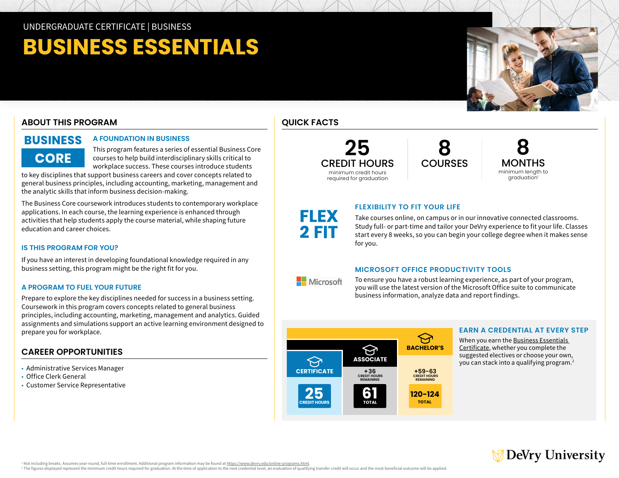# **BUSINESS ESSENTIALS**

# **ABOUT THIS PROGRAM**

**CORE** 

#### BUSINESS **A FOUNDATION IN BUSINESS**

This program features a series of essential Business Core courses to help build interdisciplinary skills critical to workplace success. These courses introduce students

to key disciplines that support business careers and cover concepts related to general business principles, including accounting, marketing, management and the analytic skills that inform business decision-making.

The Business Core coursework introduces students to contemporary workplace applications. In each course, the learning experience is enhanced through activities that help students apply the course material, while shaping future education and career choices.

## **IS THIS PROGRAM FOR YOU?**

If you have an interest in developing foundational knowledge required in any business setting, this program might be the right fit for you.

## **A PROGRAM TO FUEL YOUR FUTURE**

Prepare to explore the key disciplines needed for success in a business setting. Coursework in this program covers concepts related to general business principles, including accounting, marketing, management and analytics. Guided assignments and simulations support an active learning environment designed to prepare you for workplace.

# **CAREER OPPORTUNITIES**

• Administrative Services Manager

- Office Clerk General
- Customer Service Representative

# **QUICK FACTS**

FLEX 2 FIT

**Nicrosoft** 

**25** CREDIT HOURS minimum credit hours required for graduation

**8 COURSES** 

**8** MONTHS minimum length to graduation<sup>1</sup>

# **FLEXIBILITY TO FIT YOUR LIFE**

Take courses online, on campus or in our innovative connected classrooms. Study full- or part-time and tailor your DeVry experience to fit your life. Classes start every 8 weeks, so you can begin your college degree when it makes sense for you.

## **MICROSOFT OFFICE PRODUCTIVITY TOOLS**

To ensure you have a robust learning experience, as part of your program, you will use the latest version of the Microsoft Office suite to communicate business information, analyze data and report findings.



## **EARN A CREDENTIAL AT EVERY STEP**

When you earn the [Business Essentials](https://www.devry.edu/online-programs/undergraduate-certificates/business-essentials.html)  [Certificate,](https://www.devry.edu/online-programs/undergraduate-certificates/business-essentials.html) whether you complete the suggested electives or choose your own, you can stack into a qualifying program.<sup>2</sup>



<sup>1</sup> Not including breaks, Assumes year-round, full-time enrollment. Additional program information may be found at https://www.devry.edu/online-programs.html

<sup>1</sup> Not including breaks. Assumes year-round, full-time enrollment. Additional program information may be found at <u>https://www.devry.edu/online-programs.htm</u>l.<br><sup>2</sup> The figures displayed represent the minimum credit hours